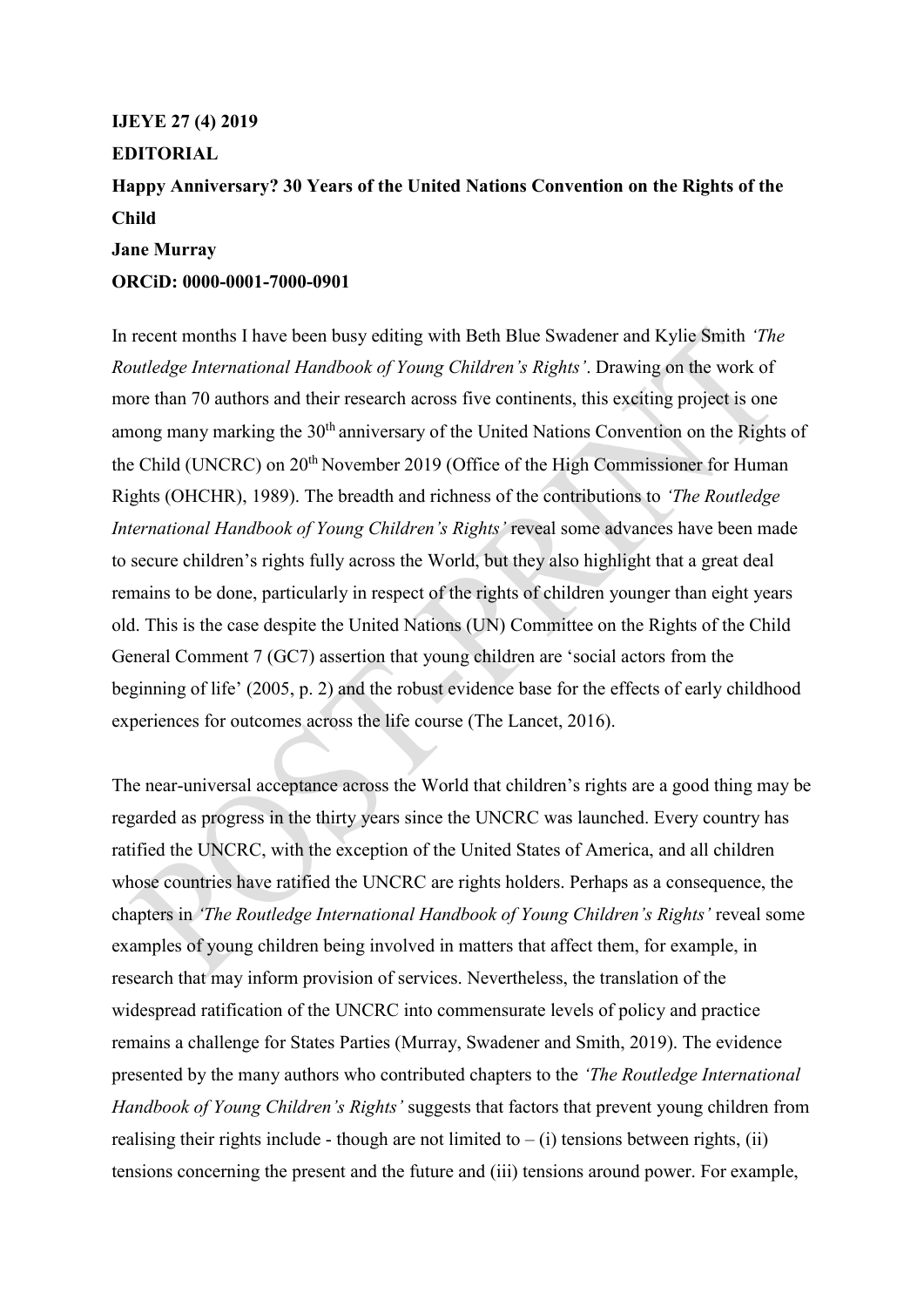## **IJEYE 27 (4) 2019 EDITORIAL**

**Happy Anniversary? 30 Years of the United Nations Convention on the Rights of the Child**

## **Jane Murray**

## **ORCiD: 0000-0001-7000-0901**

In recent months I have been busy editing with Beth Blue Swadener and Kylie Smith *'The Routledge International Handbook of Young Children's Rights'*. Drawing on the work of more than 70 authors and their research across five continents, this exciting project is one among many marking the 30<sup>th</sup> anniversary of the United Nations Convention on the Rights of the Child (UNCRC) on 20<sup>th</sup> November 2019 (Office of the High Commissioner for Human Rights (OHCHR), 1989). The breadth and richness of the contributions to *'The Routledge International Handbook of Young Children's Rights'* reveal some advances have been made to secure children's rights fully across the World, but they also highlight that a great deal remains to be done, particularly in respect of the rights of children younger than eight years old. This is the case despite the United Nations (UN) Committee on the Rights of the Child General Comment 7 (GC7) assertion that young children are 'social actors from the beginning of life' (2005, p. 2) and the robust evidence base for the effects of early childhood experiences for outcomes across the life course (The Lancet, 2016).

The near-universal acceptance across the World that children's rights are a good thing may be regarded as progress in the thirty years since the UNCRC was launched. Every country has ratified the UNCRC, with the exception of the United States of America, and all children whose countries have ratified the UNCRC are rights holders. Perhaps as a consequence, the chapters in *'The Routledge International Handbook of Young Children's Rights'* reveal some examples of young children being involved in matters that affect them, for example, in research that may inform provision of services. Nevertheless, the translation of the widespread ratification of the UNCRC into commensurate levels of policy and practice remains a challenge for States Parties (Murray, Swadener and Smith, 2019). The evidence presented by the many authors who contributed chapters to the *'The Routledge International Handbook of Young Children's Rights'* suggests that factors that prevent young children from realising their rights include - though are not limited to  $-$  (i) tensions between rights, (ii) tensions concerning the present and the future and (iii) tensions around power. For example,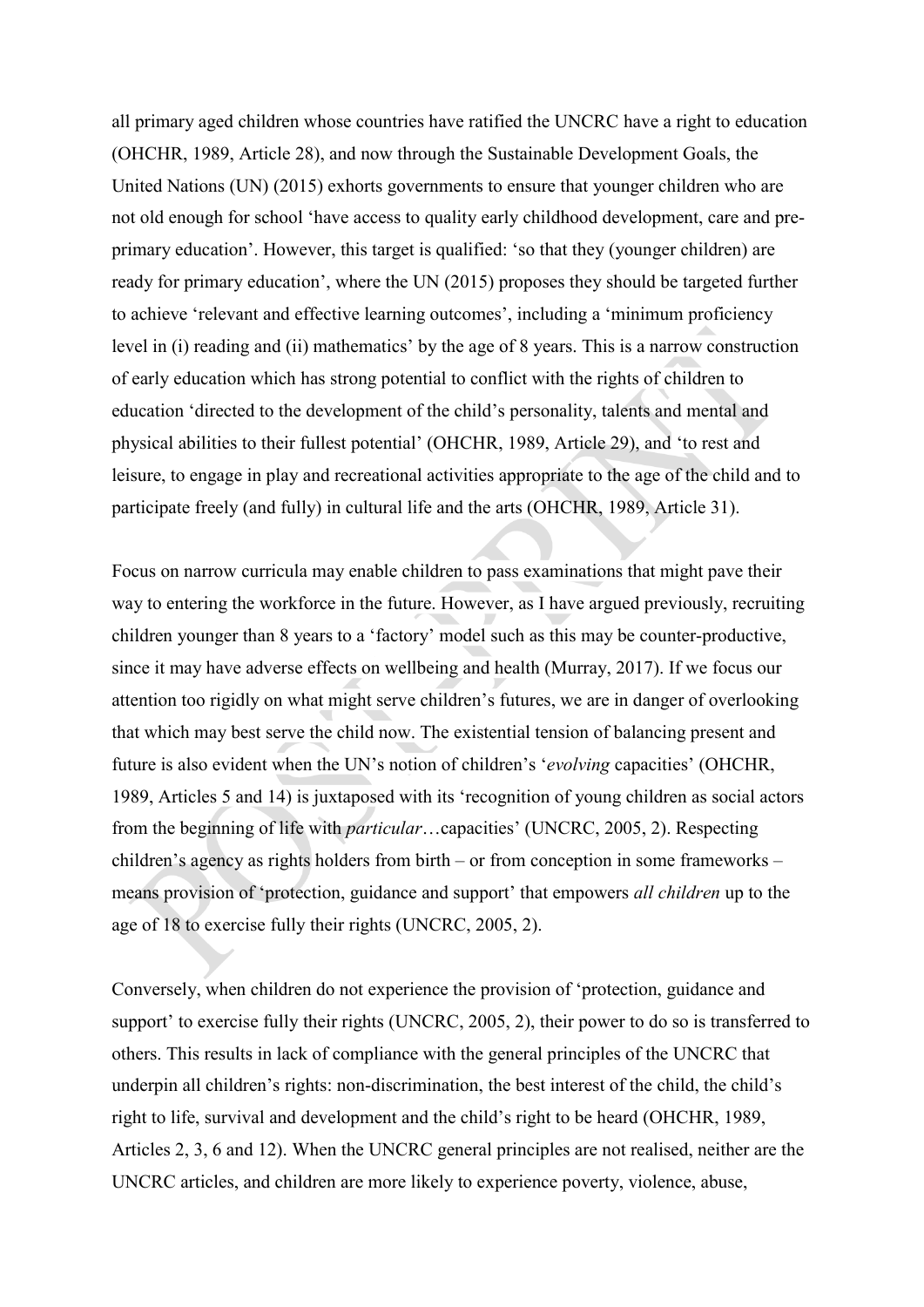all primary aged children whose countries have ratified the UNCRC have a right to education (OHCHR, 1989, Article 28), and now through the Sustainable Development Goals, the United Nations (UN) (2015) exhorts governments to ensure that younger children who are not old enough for school 'have access to quality early childhood development, care and preprimary education'. However, this target is qualified: 'so that they (younger children) are ready for primary education', where the UN (2015) proposes they should be targeted further to achieve 'relevant and effective learning outcomes', including a 'minimum proficiency level in (i) reading and (ii) mathematics' by the age of 8 years. This is a narrow construction of early education which has strong potential to conflict with the rights of children to education 'directed to the development of the child's personality, talents and mental and physical abilities to their fullest potential' (OHCHR, 1989, Article 29), and 'to rest and leisure, to engage in play and recreational activities appropriate to the age of the child and to participate freely (and fully) in cultural life and the arts (OHCHR, 1989, Article 31).

Focus on narrow curricula may enable children to pass examinations that might pave their way to entering the workforce in the future. However, as I have argued previously, recruiting children younger than 8 years to a 'factory' model such as this may be counter-productive, since it may have adverse effects on wellbeing and health (Murray, 2017). If we focus our attention too rigidly on what might serve children's futures, we are in danger of overlooking that which may best serve the child now. The existential tension of balancing present and future is also evident when the UN's notion of children's '*evolving* capacities' (OHCHR, 1989, Articles 5 and 14) is juxtaposed with its 'recognition of young children as social actors from the beginning of life with *particular*…capacities' (UNCRC, 2005, 2). Respecting children's agency as rights holders from birth – or from conception in some frameworks – means provision of 'protection, guidance and support' that empowers *all children* up to the age of 18 to exercise fully their rights (UNCRC, 2005, 2).

Conversely, when children do not experience the provision of 'protection, guidance and support' to exercise fully their rights (UNCRC, 2005, 2), their power to do so is transferred to others. This results in lack of compliance with the general principles of the UNCRC that underpin all children's rights: non-discrimination, the best interest of the child, the child's right to life, survival and development and the child's right to be heard (OHCHR, 1989, Articles 2, 3, 6 and 12). When the UNCRC general principles are not realised, neither are the UNCRC articles, and children are more likely to experience poverty, violence, abuse,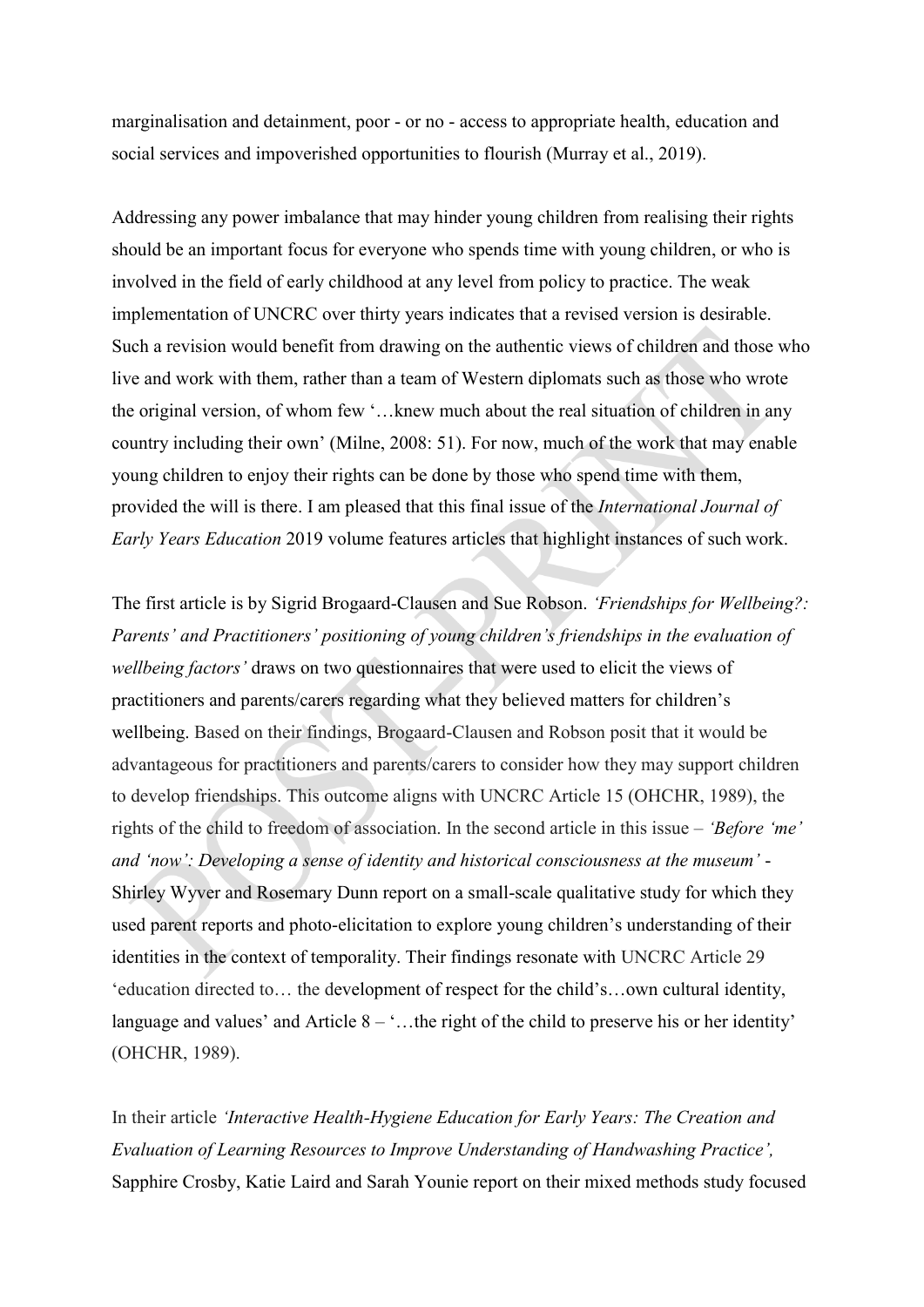marginalisation and detainment, poor - or no - access to appropriate health, education and social services and impoverished opportunities to flourish (Murray et al., 2019).

Addressing any power imbalance that may hinder young children from realising their rights should be an important focus for everyone who spends time with young children, or who is involved in the field of early childhood at any level from policy to practice. The weak implementation of UNCRC over thirty years indicates that a revised version is desirable. Such a revision would benefit from drawing on the authentic views of children and those who live and work with them, rather than a team of Western diplomats such as those who wrote the original version, of whom few '…knew much about the real situation of children in any country including their own' (Milne, 2008: 51). For now, much of the work that may enable young children to enjoy their rights can be done by those who spend time with them, provided the will is there. I am pleased that this final issue of the *International Journal of Early Years Education* 2019 volume features articles that highlight instances of such work.

The first article is by Sigrid Brogaard-Clausen and Sue Robson. *'Friendships for Wellbeing?: Parents' and Practitioners' positioning of young children's friendships in the evaluation of wellbeing factors'* draws on two questionnaires that were used to elicit the views of practitioners and parents/carers regarding what they believed matters for children's wellbeing. Based on their findings, Brogaard-Clausen and Robson posit that it would be advantageous for practitioners and parents/carers to consider how they may support children to develop friendships. This outcome aligns with UNCRC Article 15 (OHCHR, 1989), the rights of the child to freedom of association. In the second article in this issue – *'Before 'me' and 'now': Developing a sense of identity and historical consciousness at the museum'* - Shirley Wyver and Rosemary Dunn report on a small-scale qualitative study for which they used parent reports and photo-elicitation to explore young children's understanding of their identities in the context of temporality. Their findings resonate with UNCRC Article 29 'education directed to… the development of respect for the child's…own cultural identity, language and values' and Article  $8 - \dots$  the right of the child to preserve his or her identity' (OHCHR, 1989).

In their article *'Interactive Health-Hygiene Education for Early Years: The Creation and Evaluation of Learning Resources to Improve Understanding of Handwashing Practice',* Sapphire Crosby, Katie Laird and Sarah Younie report on their mixed methods study focused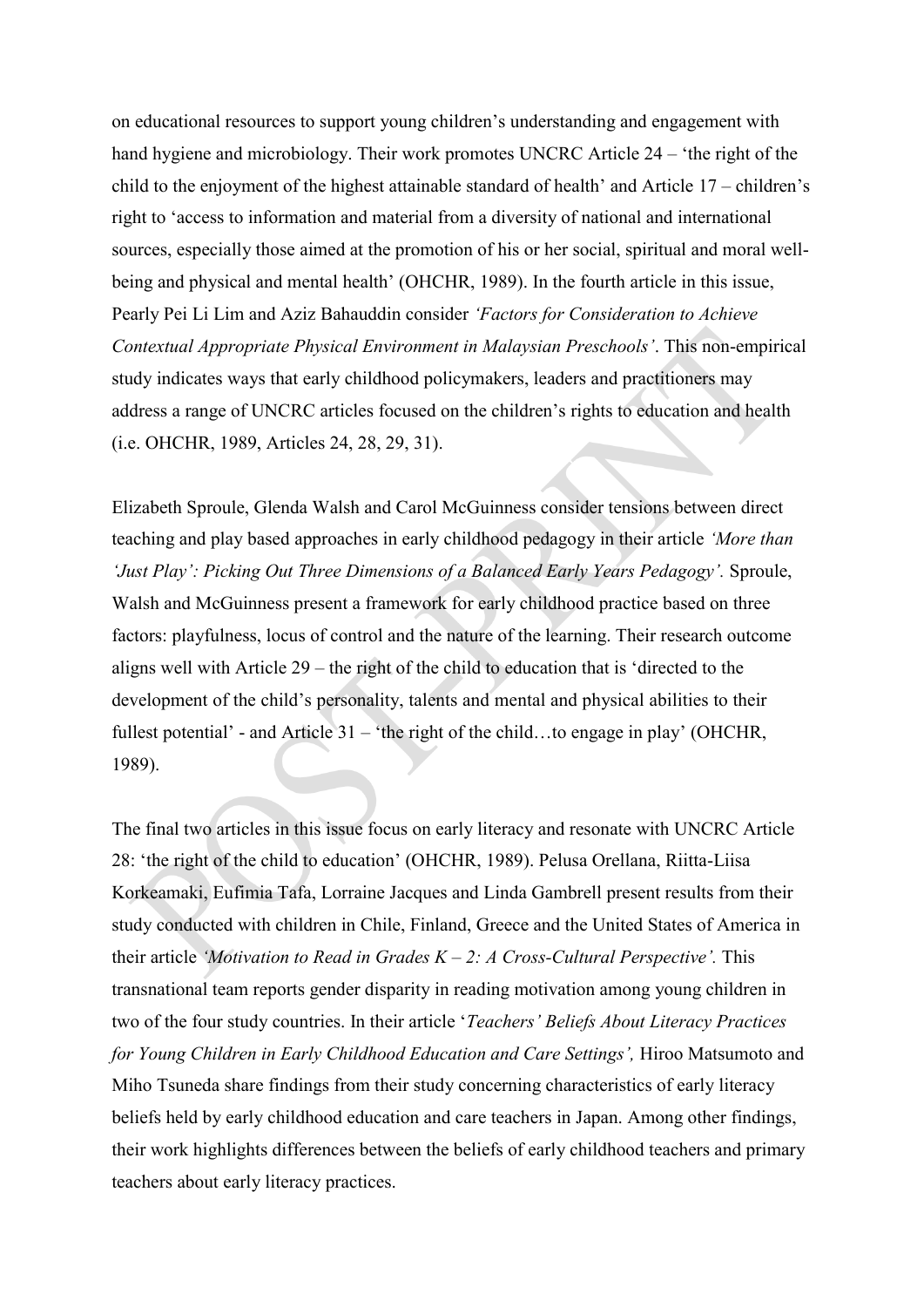on educational resources to support young children's understanding and engagement with hand hygiene and microbiology. Their work promotes UNCRC Article 24 – 'the right of the child to the enjoyment of the highest attainable standard of health' and Article 17 – children's right to 'access to information and material from a diversity of national and international sources, especially those aimed at the promotion of his or her social, spiritual and moral wellbeing and physical and mental health' (OHCHR, 1989). In the fourth article in this issue, Pearly Pei Li Lim and Aziz Bahauddin consider *'Factors for Consideration to Achieve Contextual Appropriate Physical Environment in Malaysian Preschools'*. This non-empirical study indicates ways that early childhood policymakers, leaders and practitioners may address a range of UNCRC articles focused on the children's rights to education and health (i.e. OHCHR, 1989, Articles 24, 28, 29, 31).

Elizabeth Sproule, Glenda Walsh and Carol McGuinness consider tensions between direct teaching and play based approaches in early childhood pedagogy in their article *'More than 'Just Play': Picking Out Three Dimensions of a Balanced Early Years Pedagogy'.* Sproule, Walsh and McGuinness present a framework for early childhood practice based on three factors: playfulness, locus of control and the nature of the learning. Their research outcome aligns well with Article 29 – the right of the child to education that is 'directed to the development of the child's personality, talents and mental and physical abilities to their fullest potential' - and Article 31 – 'the right of the child…to engage in play' (OHCHR, 1989).

The final two articles in this issue focus on early literacy and resonate with UNCRC Article 28: 'the right of the child to education' (OHCHR, 1989). Pelusa Orellana, Riitta-Liisa Korkeamaki, Eufimia Tafa, Lorraine Jacques and Linda Gambrell present results from their study conducted with children in Chile, Finland, Greece and the United States of America in their article *'Motivation to Read in Grades K – 2: A Cross-Cultural Perspective'.* This transnational team reports gender disparity in reading motivation among young children in two of the four study countries. In their article '*Teachers' Beliefs About Literacy Practices for Young Children in Early Childhood Education and Care Settings',* Hiroo Matsumoto and Miho Tsuneda share findings from their study concerning characteristics of early literacy beliefs held by early childhood education and care teachers in Japan. Among other findings, their work highlights differences between the beliefs of early childhood teachers and primary teachers about early literacy practices.